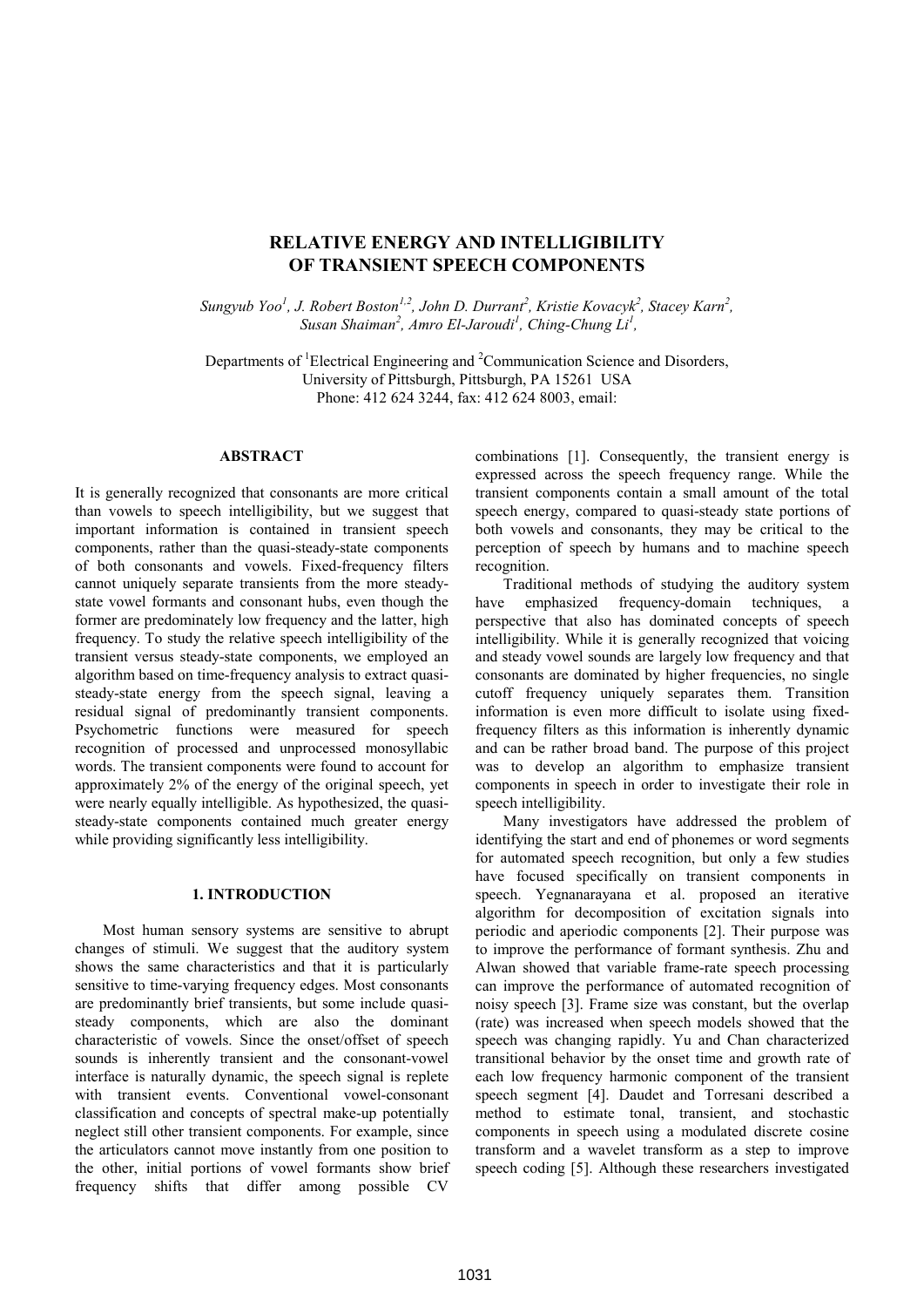# **RELATIVE ENERGY AND INTELLIGIBILITY OF TRANSIENT SPEECH COMPONENTS**

*Sungyub Yoo<sup>1</sup>, J. Robert Boston<sup>1,2</sup>, John D. Durrant<sup>2</sup>, Kristie Kovacyk<sup>2</sup>, Stacey Karn<sup>2</sup>,* Susan Shaiman<sup>2</sup>, Amro El-Jaroudi<sup>1</sup>, Ching-Chung Li<sup>1</sup>,

Departments of <sup>1</sup>Electrical Engineering and <sup>2</sup>Communication Science and Disorders, University of Pittsburgh, Pittsburgh, PA 15261 USA Phone: 412 624 3244, fax: 412 624 8003, email:

### **ABSTRACT**

It is generally recognized that consonants are more critical than vowels to speech intelligibility, but we suggest that important information is contained in transient speech components, rather than the quasi-steady-state components of both consonants and vowels. Fixed-frequency filters cannot uniquely separate transients from the more steadystate vowel formants and consonant hubs, even though the former are predominately low frequency and the latter, high frequency. To study the relative speech intelligibility of the transient versus steady-state components, we employed an algorithm based on time-frequency analysis to extract quasisteady-state energy from the speech signal, leaving a residual signal of predominantly transient components. Psychometric functions were measured for speech recognition of processed and unprocessed monosyllabic words. The transient components were found to account for approximately 2% of the energy of the original speech, yet were nearly equally intelligible. As hypothesized, the quasisteady-state components contained much greater energy while providing significantly less intelligibility.

# **1. INTRODUCTION**

Most human sensory systems are sensitive to abrupt changes of stimuli. We suggest that the auditory system shows the same characteristics and that it is particularly sensitive to time-varying frequency edges. Most consonants are predominantly brief transients, but some include quasisteady components, which are also the dominant characteristic of vowels. Since the onset/offset of speech sounds is inherently transient and the consonant-vowel interface is naturally dynamic, the speech signal is replete with transient events. Conventional vowel-consonant classification and concepts of spectral make-up potentially neglect still other transient components. For example, since the articulators cannot move instantly from one position to the other, initial portions of vowel formants show brief frequency shifts that differ among possible CV

combinations [1]. Consequently, the transient energy is expressed across the speech frequency range. While the transient components contain a small amount of the total speech energy, compared to quasi-steady state portions of both vowels and consonants, they may be critical to the perception of speech by humans and to machine speech recognition.

Traditional methods of studying the auditory system have emphasized frequency-domain techniques, a perspective that also has dominated concepts of speech intelligibility. While it is generally recognized that voicing and steady vowel sounds are largely low frequency and that consonants are dominated by higher frequencies, no single cutoff frequency uniquely separates them. Transition information is even more difficult to isolate using fixedfrequency filters as this information is inherently dynamic and can be rather broad band. The purpose of this project was to develop an algorithm to emphasize transient components in speech in order to investigate their role in speech intelligibility.

Many investigators have addressed the problem of identifying the start and end of phonemes or word segments for automated speech recognition, but only a few studies have focused specifically on transient components in speech. Yegnanarayana et al. proposed an iterative algorithm for decomposition of excitation signals into periodic and aperiodic components [2]. Their purpose was to improve the performance of formant synthesis. Zhu and Alwan showed that variable frame-rate speech processing can improve the performance of automated recognition of noisy speech [3]. Frame size was constant, but the overlap (rate) was increased when speech models showed that the speech was changing rapidly. Yu and Chan characterized transitional behavior by the onset time and growth rate of each low frequency harmonic component of the transient speech segment [4]. Daudet and Torresani described a method to estimate tonal, transient, and stochastic components in speech using a modulated discrete cosine transform and a wavelet transform as a step to improve speech coding [5]. Although these researchers investigated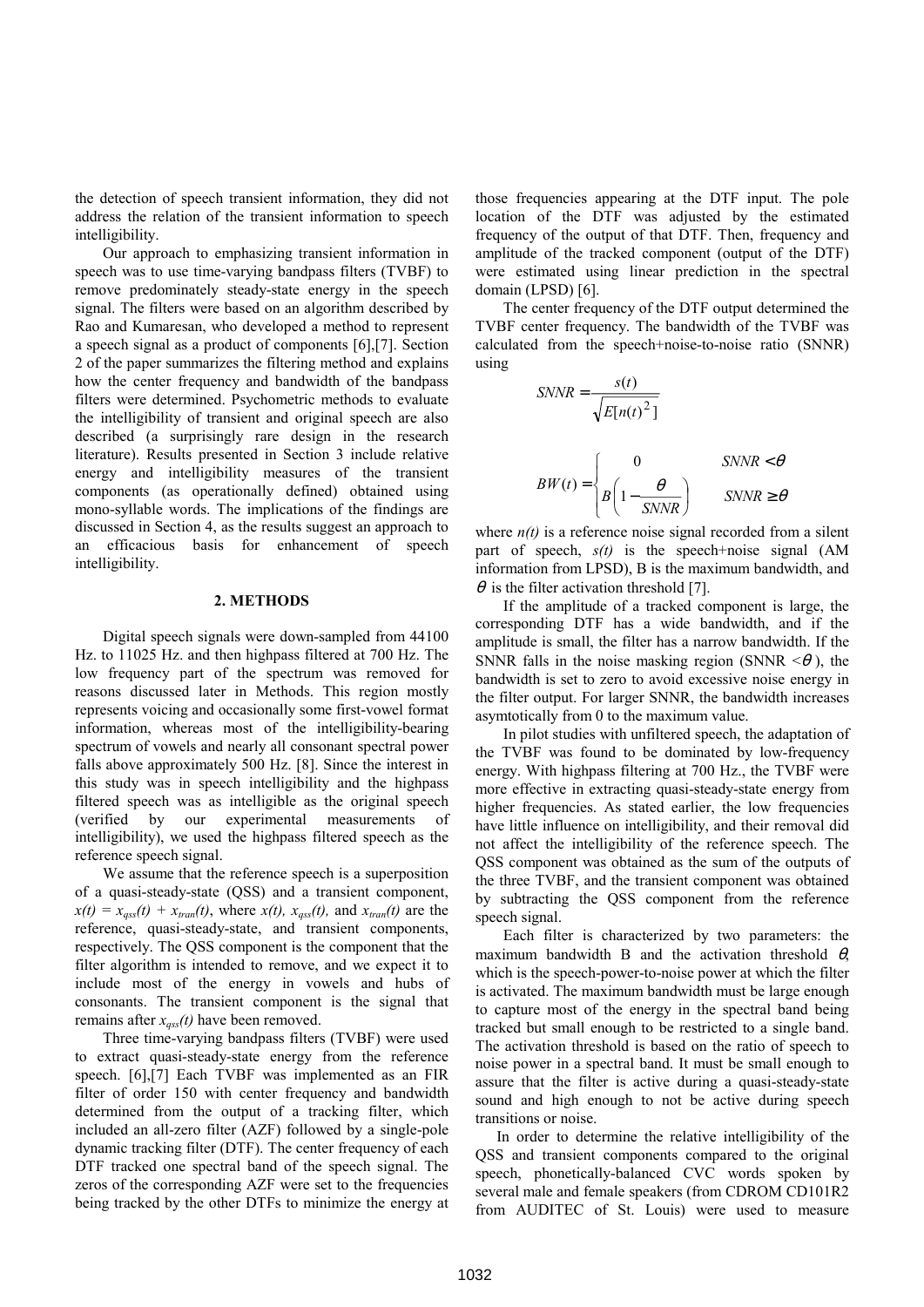the detection of speech transient information, they did not address the relation of the transient information to speech intelligibility.

Our approach to emphasizing transient information in speech was to use time-varying bandpass filters (TVBF) to remove predominately steady-state energy in the speech signal. The filters were based on an algorithm described by Rao and Kumaresan, who developed a method to represent a speech signal as a product of components [6],[7]. Section 2 of the paper summarizes the filtering method and explains how the center frequency and bandwidth of the bandpass filters were determined. Psychometric methods to evaluate the intelligibility of transient and original speech are also described (a surprisingly rare design in the research literature). Results presented in Section 3 include relative energy and intelligibility measures of the transient components (as operationally defined) obtained using mono-syllable words. The implications of the findings are discussed in Section 4, as the results suggest an approach to an efficacious basis for enhancement of speech intelligibility.

#### **2. METHODS**

Digital speech signals were down-sampled from 44100 Hz. to 11025 Hz. and then highpass filtered at 700 Hz. The low frequency part of the spectrum was removed for reasons discussed later in Methods. This region mostly represents voicing and occasionally some first-vowel format information, whereas most of the intelligibility-bearing spectrum of vowels and nearly all consonant spectral power falls above approximately 500 Hz. [8]. Since the interest in this study was in speech intelligibility and the highpass filtered speech was as intelligible as the original speech (verified by our experimental measurements of intelligibility), we used the highpass filtered speech as the reference speech signal.

 We assume that the reference speech is a superposition of a quasi-steady-state (QSS) and a transient component,  $x(t) = x_{qss}(t) + x_{tran}(t)$ , where  $x(t)$ ,  $x_{qss}(t)$ , and  $x_{tran}(t)$  are the reference, quasi-steady-state, and transient components, respectively. The QSS component is the component that the filter algorithm is intended to remove, and we expect it to include most of the energy in vowels and hubs of consonants. The transient component is the signal that remains after *xqss(t)* have been removed.

 Three time-varying bandpass filters (TVBF) were used to extract quasi-steady-state energy from the reference speech. [6],[7] Each TVBF was implemented as an FIR filter of order 150 with center frequency and bandwidth determined from the output of a tracking filter, which included an all-zero filter (AZF) followed by a single-pole dynamic tracking filter (DTF). The center frequency of each DTF tracked one spectral band of the speech signal. The zeros of the corresponding AZF were set to the frequencies being tracked by the other DTFs to minimize the energy at those frequencies appearing at the DTF input. The pole location of the DTF was adjusted by the estimated frequency of the output of that DTF. Then, frequency and amplitude of the tracked component (output of the DTF) were estimated using linear prediction in the spectral domain (LPSD) [6].

The center frequency of the DTF output determined the TVBF center frequency. The bandwidth of the TVBF was calculated from the speech+noise-to-noise ratio (SNNR) using

$$
SNNR = \frac{s(t)}{\sqrt{E[n(t)]^2}}
$$
  

$$
BW(t) = \begin{cases} 0 & SNNR < \theta \\ B\left(1 - \frac{\theta}{SNNR}\right) & SNNR \ge \theta \end{cases}
$$

where  $n(t)$  is a reference noise signal recorded from a silent part of speech, *s(t)* is the speech+noise signal (AM information from LPSD), B is the maximum bandwidth, and  $\theta$  is the filter activation threshold [7].

If the amplitude of a tracked component is large, the corresponding DTF has a wide bandwidth, and if the amplitude is small, the filter has a narrow bandwidth. If the SNNR falls in the noise masking region (SNNR  $\leq \theta$ ), the bandwidth is set to zero to avoid excessive noise energy in the filter output. For larger SNNR, the bandwidth increases asymtotically from 0 to the maximum value.

In pilot studies with unfiltered speech, the adaptation of the TVBF was found to be dominated by low-frequency energy. With highpass filtering at 700 Hz., the TVBF were more effective in extracting quasi-steady-state energy from higher frequencies. As stated earlier, the low frequencies have little influence on intelligibility, and their removal did not affect the intelligibility of the reference speech. The QSS component was obtained as the sum of the outputs of the three TVBF, and the transient component was obtained by subtracting the QSS component from the reference speech signal.

Each filter is characterized by two parameters: the maximum bandwidth B and the activation threshold  $\theta$ . which is the speech-power-to-noise power at which the filter is activated. The maximum bandwidth must be large enough to capture most of the energy in the spectral band being tracked but small enough to be restricted to a single band. The activation threshold is based on the ratio of speech to noise power in a spectral band. It must be small enough to assure that the filter is active during a quasi-steady-state sound and high enough to not be active during speech transitions or noise.

 In order to determine the relative intelligibility of the QSS and transient components compared to the original speech, phonetically-balanced CVC words spoken by several male and female speakers (from CDROM CD101R2 from AUDITEC of St. Louis) were used to measure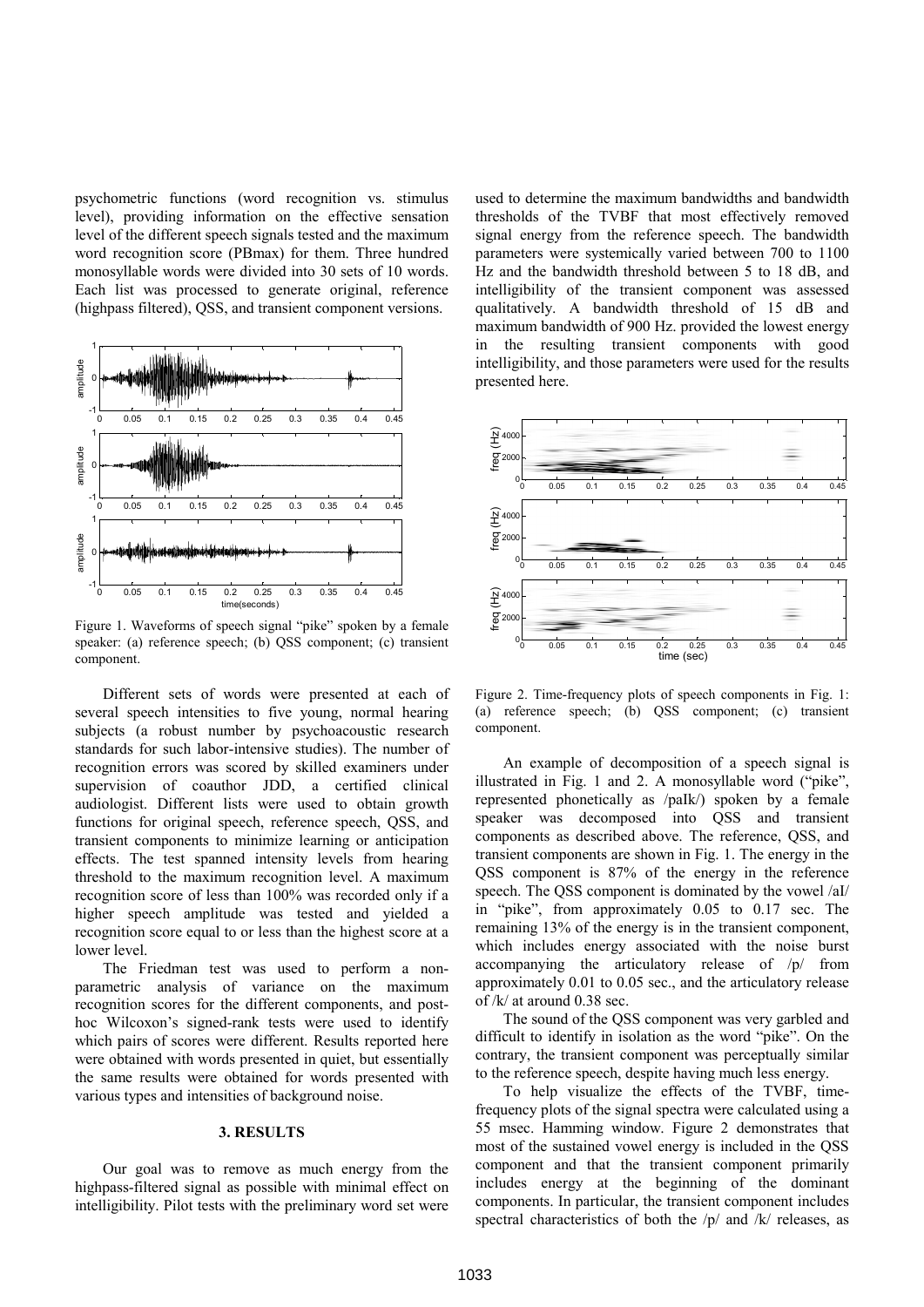psychometric functions (word recognition vs. stimulus level), providing information on the effective sensation level of the different speech signals tested and the maximum word recognition score (PBmax) for them. Three hundred monosyllable words were divided into 30 sets of 10 words. Each list was processed to generate original, reference (highpass filtered), QSS, and transient component versions.



Figure 1. Waveforms of speech signal "pike" spoken by a female speaker: (a) reference speech; (b) QSS component; (c) transient component.

 Different sets of words were presented at each of several speech intensities to five young, normal hearing subjects (a robust number by psychoacoustic research standards for such labor-intensive studies). The number of recognition errors was scored by skilled examiners under supervision of coauthor JDD, a certified clinical audiologist. Different lists were used to obtain growth functions for original speech, reference speech, QSS, and transient components to minimize learning or anticipation effects. The test spanned intensity levels from hearing threshold to the maximum recognition level. A maximum recognition score of less than 100% was recorded only if a higher speech amplitude was tested and yielded a recognition score equal to or less than the highest score at a lower level.

 The Friedman test was used to perform a nonparametric analysis of variance on the maximum recognition scores for the different components, and posthoc Wilcoxon's signed-rank tests were used to identify which pairs of scores were different. Results reported here were obtained with words presented in quiet, but essentially the same results were obtained for words presented with various types and intensities of background noise.

#### **3. RESULTS**

Our goal was to remove as much energy from the highpass-filtered signal as possible with minimal effect on intelligibility. Pilot tests with the preliminary word set were

used to determine the maximum bandwidths and bandwidth thresholds of the TVBF that most effectively removed signal energy from the reference speech. The bandwidth parameters were systemically varied between 700 to 1100 Hz and the bandwidth threshold between 5 to 18 dB, and intelligibility of the transient component was assessed qualitatively. A bandwidth threshold of 15 dB and maximum bandwidth of 900 Hz. provided the lowest energy in the resulting transient components with good intelligibility, and those parameters were used for the results presented here.



Figure 2. Time-frequency plots of speech components in Fig. 1: (a) reference speech; (b) QSS component; (c) transient component.

An example of decomposition of a speech signal is illustrated in Fig. 1 and 2. A monosyllable word ("pike", represented phonetically as /paIk/) spoken by a female speaker was decomposed into QSS and transient components as described above. The reference, QSS, and transient components are shown in Fig. 1. The energy in the QSS component is 87% of the energy in the reference speech. The QSS component is dominated by the vowel /aI/ in "pike", from approximately 0.05 to 0.17 sec. The remaining 13% of the energy is in the transient component, which includes energy associated with the noise burst accompanying the articulatory release of /p/ from approximately 0.01 to 0.05 sec., and the articulatory release of /k/ at around 0.38 sec.

The sound of the QSS component was very garbled and difficult to identify in isolation as the word "pike". On the contrary, the transient component was perceptually similar to the reference speech, despite having much less energy.

To help visualize the effects of the TVBF, timefrequency plots of the signal spectra were calculated using a 55 msec. Hamming window. Figure 2 demonstrates that most of the sustained vowel energy is included in the QSS component and that the transient component primarily includes energy at the beginning of the dominant components. In particular, the transient component includes spectral characteristics of both the /p/ and /k/ releases, as